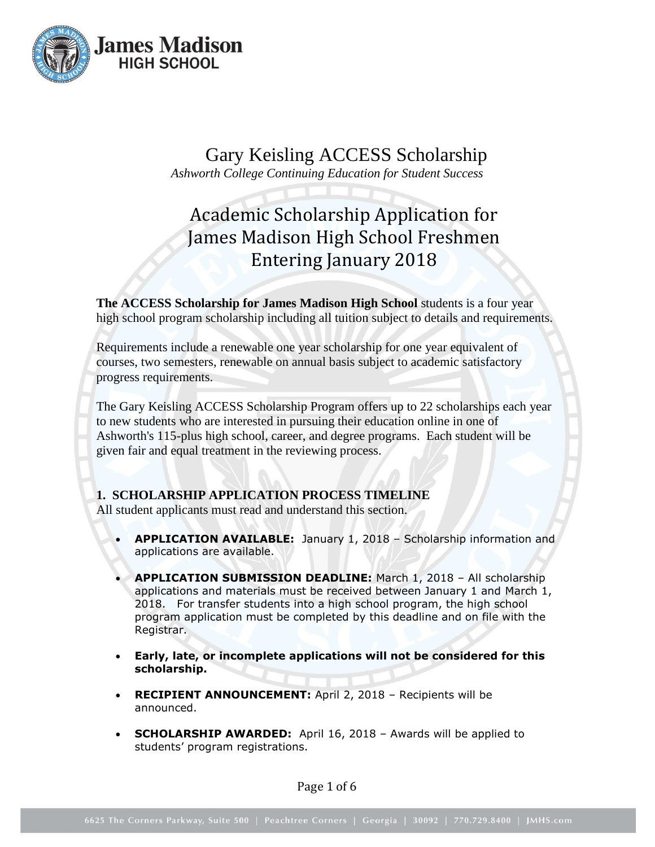

Gary Keisling ACCESS Scholarship *Ashworth College Continuing Education for Student Success*

# Academic Scholarship Application for James Madison High School Freshmen Entering January 2018

**The ACCESS Scholarship for James Madison High School** students is a four year high school program scholarship including all tuition subject to details and requirements.

Requirements include a renewable one year scholarship for one year equivalent of courses, two semesters, renewable on annual basis subject to academic satisfactory progress requirements.

The Gary Keisling ACCESS Scholarship Program offers up to 22 scholarships each year to new students who are interested in pursuing their education online in one of Ashworth's 115-plus high school, career, and degree programs. Each student will be given fair and equal treatment in the reviewing process.

# **1. SCHOLARSHIP APPLICATION PROCESS TIMELINE**

All student applicants must read and understand this section.

- **APPLICATION AVAILABLE:** January 1, 2018 Scholarship information and applications are available.
- **APPLICATION SUBMISSION DEADLINE:** March 1, 2018 All scholarship applications and materials must be received between January 1 and March 1, 2018. For transfer students into a high school program, the high school program application must be completed by this deadline and on file with the Registrar.
- **Early, late, or incomplete applications will not be considered for this scholarship.**
- **RECIPIENT ANNOUNCEMENT:** April 2, 2018 Recipients will be announced.
- **SCHOLARSHIP AWARDED:** April 16, 2018 Awards will be applied to students' program registrations.

Page 1 of 6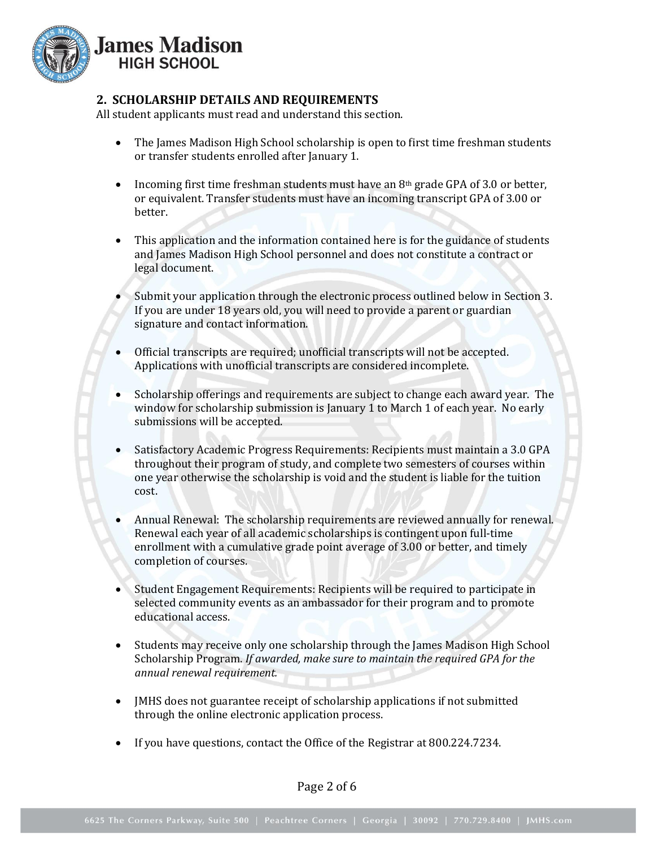

## **2. SCHOLARSHIP DETAILS AND REQUIREMENTS**

All student applicants must read and understand this section.

- The James Madison High School scholarship is open to first time freshman students or transfer students enrolled after January 1.
- Incoming first time freshman students must have an  $8<sup>th</sup>$  grade GPA of 3.0 or better, or equivalent. Transfer students must have an incoming transcript GPA of 3.00 or better.
- This application and the information contained here is for the guidance of students and James Madison High School personnel and does not constitute a contract or legal document.
- Submit your application through the electronic process outlined below in Section 3. If you are under 18 years old, you will need to provide a parent or guardian signature and contact information.
- Official transcripts are required; unofficial transcripts will not be accepted. Applications with unofficial transcripts are considered incomplete.
- Scholarship offerings and requirements are subject to change each award year. The window for scholarship submission is January 1 to March 1 of each year. No early submissions will be accepted.
- Satisfactory Academic Progress Requirements: Recipients must maintain a 3.0 GPA throughout their program of study, and complete two semesters of courses within one year otherwise the scholarship is void and the student is liable for the tuition cost.
- Annual Renewal: The scholarship requirements are reviewed annually for renewal. Renewal each year of all academic scholarships is contingent upon full-time enrollment with a cumulative grade point average of 3.00 or better, and timely completion of courses.
- Student Engagement Requirements: Recipients will be required to participate in selected community events as an ambassador for their program and to promote educational access.
- Students may receive only one scholarship through the James Madison High School Scholarship Program. *If awarded, make sure to maintain the required GPA for the annual renewal requirement.*
- JMHS does not guarantee receipt of scholarship applications if not submitted through the online electronic application process.
- If you have questions, contact the Office of the Registrar at 800.224.7234.

Page 2 of 6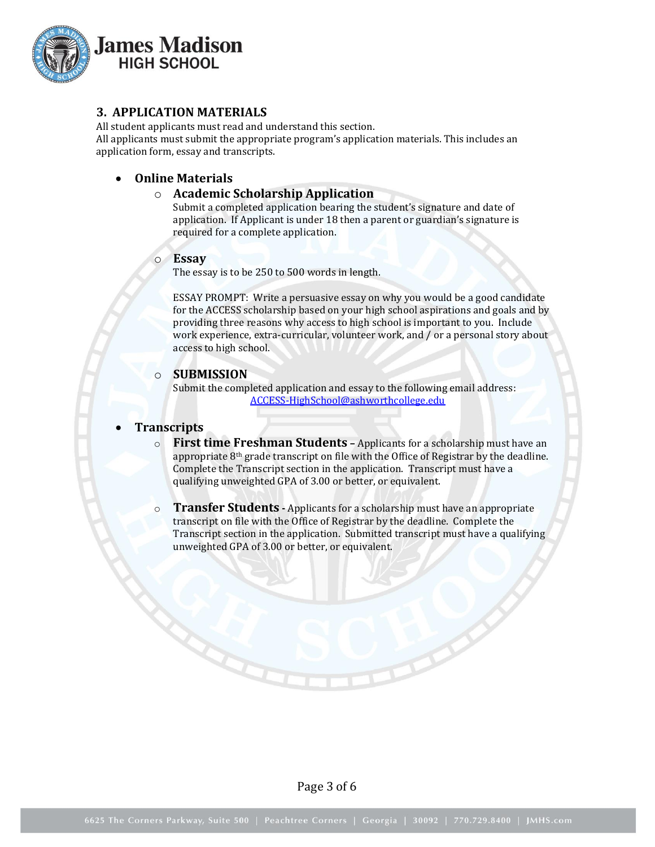

## **3. APPLICATION MATERIALS**

All student applicants must read and understand this section. All applicants must submit the appropriate program's application materials. This includes an application form, essay and transcripts.

## **Online Materials**

## o **Academic Scholarship Application**

Submit a completed application bearing the student's signature and date of application. If Applicant is under 18 then a parent or guardian's signature is required for a complete application.

#### o **Essay**

The essay is to be 250 to 500 words in length.

ESSAY PROMPT: Write a persuasive essay on why you would be a good candidate for the ACCESS scholarship based on your high school aspirations and goals and by providing three reasons why access to high school is important to you. Include work experience, extra-curricular, volunteer work, and / or a personal story about access to high school.

#### o **SUBMISSION**

Submit the completed application and essay to the following email address: ACCESS-HighSchool@ashworthcollege.edu

## **Transcripts**

- o **First time Freshman Students –** Applicants for a scholarship must have an appropriate  $8<sup>th</sup>$  grade transcript on file with the Office of Registrar by the deadline. Complete the Transcript section in the application. Transcript must have a qualifying unweighted GPA of 3.00 or better, or equivalent.
- o **Transfer Students -** Applicants for a scholarship must have an appropriate transcript on file with the Office of Registrar by the deadline. Complete the Transcript section in the application. Submitted transcript must have a qualifying unweighted GPA of 3.00 or better, or equivalent.

Page 3 of 6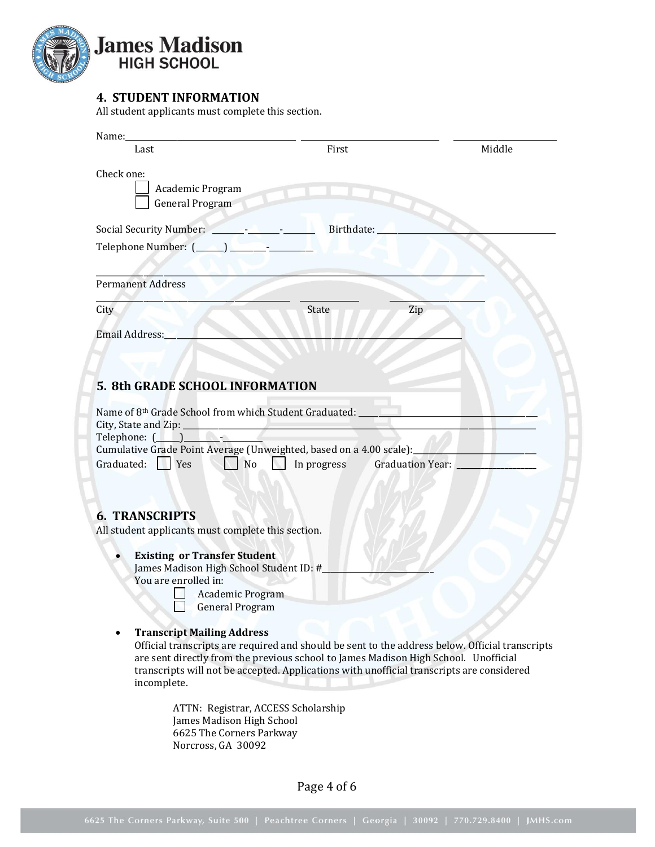

# **4. STUDENT INFORMATION**

All student applicants must complete this section.

| Name:                                                                                                                                                                                                                                                                                                                                                 |                                                                                                                                                                                                                                                                                     |        |
|-------------------------------------------------------------------------------------------------------------------------------------------------------------------------------------------------------------------------------------------------------------------------------------------------------------------------------------------------------|-------------------------------------------------------------------------------------------------------------------------------------------------------------------------------------------------------------------------------------------------------------------------------------|--------|
| Last                                                                                                                                                                                                                                                                                                                                                  | First                                                                                                                                                                                                                                                                               | Middle |
| Check one:<br>Academic Program<br><b>General Program</b>                                                                                                                                                                                                                                                                                              |                                                                                                                                                                                                                                                                                     |        |
|                                                                                                                                                                                                                                                                                                                                                       | Birthdate:                                                                                                                                                                                                                                                                          |        |
|                                                                                                                                                                                                                                                                                                                                                       |                                                                                                                                                                                                                                                                                     |        |
| <b>Permanent Address</b>                                                                                                                                                                                                                                                                                                                              |                                                                                                                                                                                                                                                                                     |        |
| City                                                                                                                                                                                                                                                                                                                                                  | State<br>Zip                                                                                                                                                                                                                                                                        |        |
| Email Address:                                                                                                                                                                                                                                                                                                                                        |                                                                                                                                                                                                                                                                                     |        |
|                                                                                                                                                                                                                                                                                                                                                       |                                                                                                                                                                                                                                                                                     |        |
| 5. 8th GRADE SCHOOL INFORMATION                                                                                                                                                                                                                                                                                                                       |                                                                                                                                                                                                                                                                                     |        |
| Name of 8th Grade School from which Student Graduated:<br>City, State and Zip: ___<br>Telephone: (Letter and the set of the set of the set of the set of the set of the set of the set of the set of the set of the set of the set of the set of the set of the set of the set of the set of the set of the set of t<br>Graduated:   Yes<br><b>No</b> | Cumulative Grade Point Average (Unweighted, based on a 4.00 scale):<br>In progress<br>Graduation Year:                                                                                                                                                                              |        |
| <b>6. TRANSCRIPTS</b><br>All student applicants must complete this section.                                                                                                                                                                                                                                                                           |                                                                                                                                                                                                                                                                                     |        |
| <b>Existing or Transfer Student</b><br>James Madison High School Student ID: #<br>You are enrolled in:<br>Academic Program<br><b>General Program</b>                                                                                                                                                                                                  |                                                                                                                                                                                                                                                                                     |        |
| <b>Transcript Mailing Address</b><br>incomplete.                                                                                                                                                                                                                                                                                                      | Official transcripts are required and should be sent to the address below. Official transcripts<br>are sent directly from the previous school to James Madison High School. Unofficial<br>transcripts will not be accepted. Applications with unofficial transcripts are considered |        |
| James Madison High School<br>6625 The Corners Parkway<br>Norcross, GA 30092                                                                                                                                                                                                                                                                           | ATTN: Registrar, ACCESS Scholarship                                                                                                                                                                                                                                                 |        |

Page 4 of 6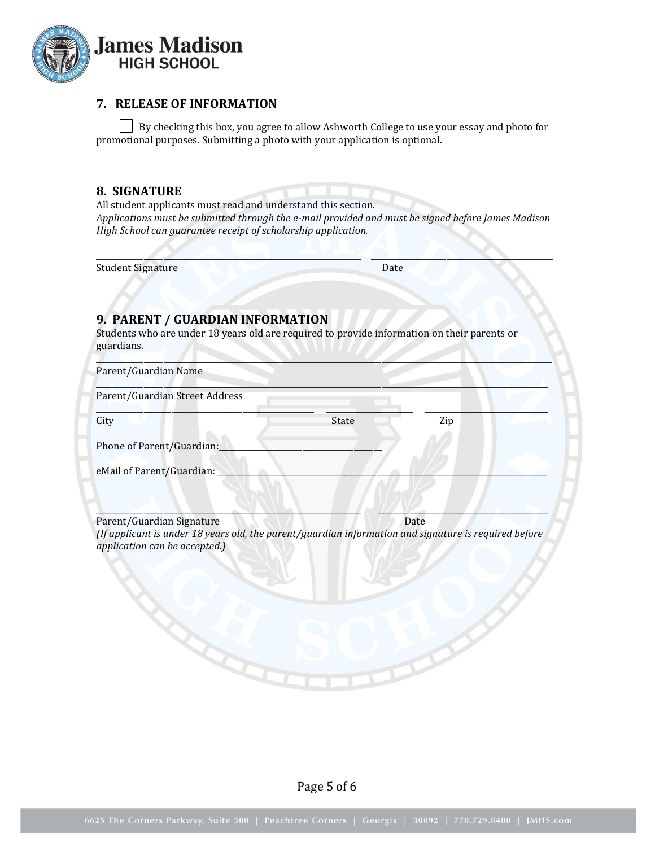

## **7. RELEASE OF INFORMATION**

By checking this box, you agree to allow Ashworth College to use your essay and photo for promotional purposes. Submitting a photo with your application is optional.

## **8. SIGNATURE**

All student applicants must read and understand this section. *Applications must be submitted through the e-mail provided and must be signed before James Madison High School can guarantee receipt of scholarship application.* 

 $\Box$ 

Student Signature Date

# **9. PARENT / GUARDIAN INFORMATION**

Students who are under 18 years old are required to provide information on their parents or guardians.

| Parent/Guardian Street Address                                                                                                                                      |       |      |  |
|---------------------------------------------------------------------------------------------------------------------------------------------------------------------|-------|------|--|
| City                                                                                                                                                                | State | Zip  |  |
| Phone of Parent/Guardian:                                                                                                                                           |       |      |  |
| eMail of Parent/Guardian:                                                                                                                                           |       |      |  |
|                                                                                                                                                                     |       |      |  |
|                                                                                                                                                                     |       |      |  |
|                                                                                                                                                                     |       |      |  |
|                                                                                                                                                                     |       | Date |  |
|                                                                                                                                                                     |       |      |  |
|                                                                                                                                                                     |       |      |  |
| Parent/Guardian Signature<br>(If applicant is under 18 years old, the parent/guardian information and signature is required before<br>application can be accepted.) |       |      |  |

Page 5 of 6